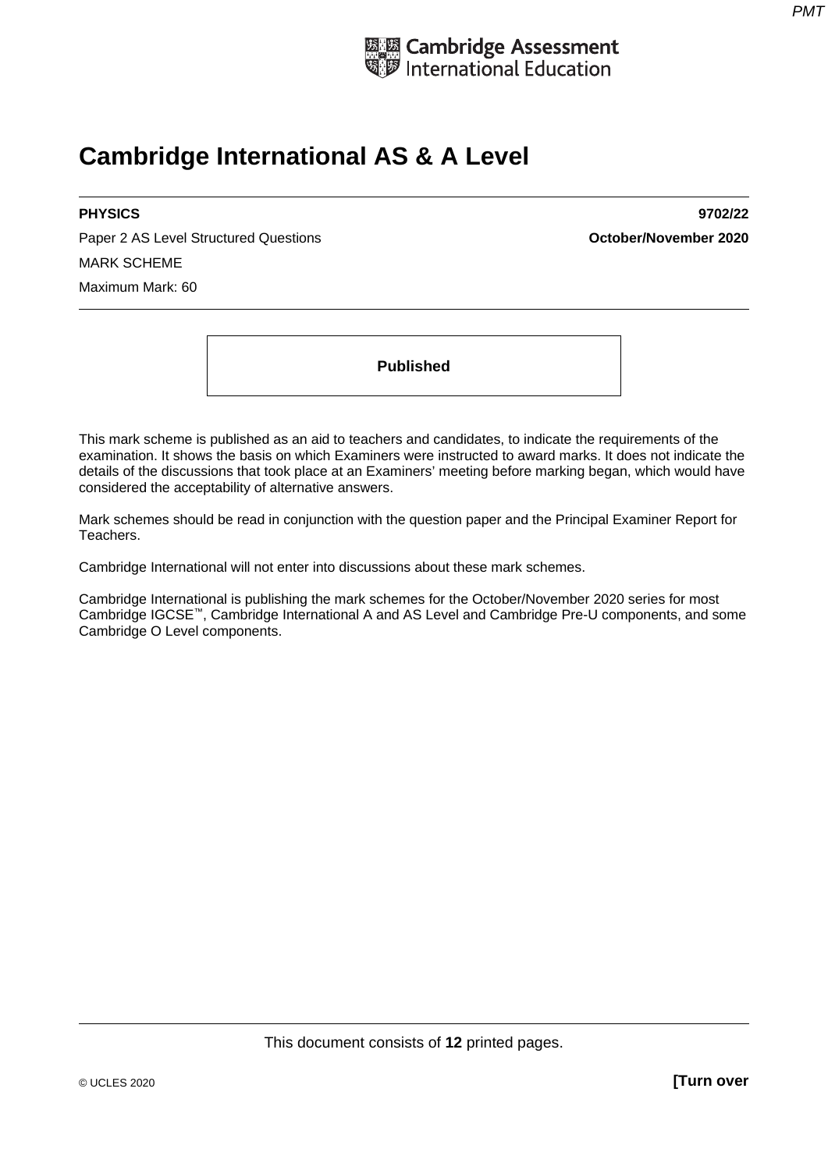

# **Cambridge International AS & A Level**

Paper 2 AS Level Structured Questions **October/November 2020** MARK SCHEME Maximum Mark: 60

**PHYSICS 9702/22** 

**Published** 

This mark scheme is published as an aid to teachers and candidates, to indicate the requirements of the examination. It shows the basis on which Examiners were instructed to award marks. It does not indicate the details of the discussions that took place at an Examiners' meeting before marking began, which would have considered the acceptability of alternative answers.

Mark schemes should be read in conjunction with the question paper and the Principal Examiner Report for Teachers.

Cambridge International will not enter into discussions about these mark schemes.

Cambridge International is publishing the mark schemes for the October/November 2020 series for most Cambridge IGCSE™, Cambridge International A and AS Level and Cambridge Pre-U components, and some Cambridge O Level components.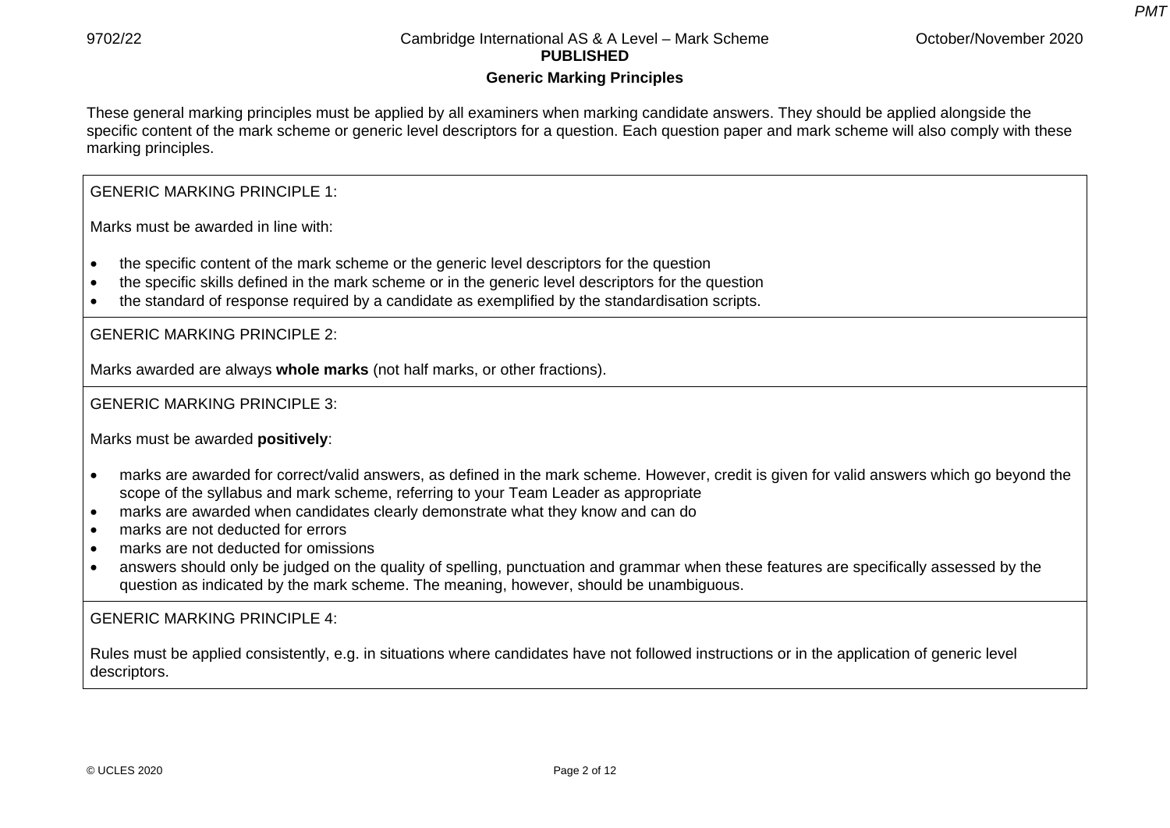*PMT*

#### **Generic Marking Principles**

These general marking principles must be applied by all examiners when marking candidate answers. They should be applied alongside the specific content of the mark scheme or generic level descriptors for a question. Each question paper and mark scheme will also comply with these marking principles.

GENERIC MARKING PRINCIPLE 1:

Marks must be awarded in line with:

- the specific content of the mark scheme or the generic level descriptors for the question
- the specific skills defined in the mark scheme or in the generic level descriptors for the question
- the standard of response required by a candidate as exemplified by the standardisation scripts.

GENERIC MARKING PRINCIPLE 2:

Marks awarded are always **whole marks** (not half marks, or other fractions).

GENERIC MARKING PRINCIPLE 3:

Marks must be awarded **positively**:

- marks are awarded for correct/valid answers, as defined in the mark scheme. However, credit is given for valid answers which go beyond the scope of the syllabus and mark scheme, referring to your Team Leader as appropriate
- marks are awarded when candidates clearly demonstrate what they know and can do
- marks are not deducted for errors
- marks are not deducted for omissions
- answers should only be judged on the quality of spelling, punctuation and grammar when these features are specifically assessed by the question as indicated by the mark scheme. The meaning, however, should be unambiguous.

GENERIC MARKING PRINCIPLE 4:

Rules must be applied consistently, e.g. in situations where candidates have not followed instructions or in the application of generic level descriptors.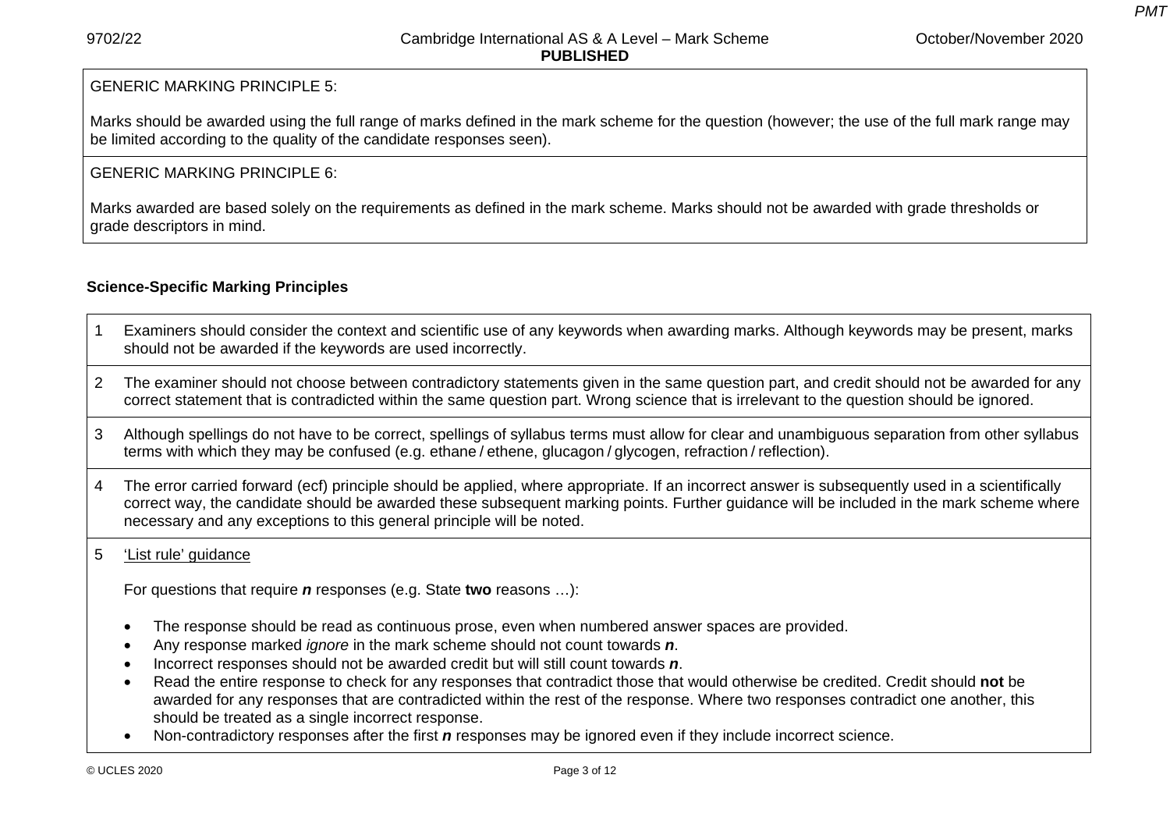*PMT*

#### GENERIC MARKING PRINCIPLE 5:

Marks should be awarded using the full range of marks defined in the mark scheme for the question (however; the use of the full mark range may be limited according to the quality of the candidate responses seen).

#### GENERIC MARKING PRINCIPLE 6:

Marks awarded are based solely on the requirements as defined in the mark scheme. Marks should not be awarded with grade thresholds or grade descriptors in mind.

#### **Science-Specific Marking Principles**

- 1 Examiners should consider the context and scientific use of any keywords when awarding marks. Although keywords may be present, marks should not be awarded if the keywords are used incorrectly.
- 2 The examiner should not choose between contradictory statements given in the same question part, and credit should not be awarded for any correct statement that is contradicted within the same question part. Wrong science that is irrelevant to the question should be ignored.
- 3 Although spellings do not have to be correct, spellings of syllabus terms must allow for clear and unambiguous separation from other syllabus terms with which they may be confused (e.g. ethane / ethene, glucagon / glycogen, refraction / reflection).
- 4 The error carried forward (ecf) principle should be applied, where appropriate. If an incorrect answer is subsequently used in a scientifically correct way, the candidate should be awarded these subsequent marking points. Further guidance will be included in the mark scheme where necessary and any exceptions to this general principle will be noted.

#### 5 'List rule' guidance

For questions that require *n* responses (e.g. State **two** reasons …):

- The response should be read as continuous prose, even when numbered answer spaces are provided.
- Any response marked *ignore* in the mark scheme should not count towards *n*.
- Incorrect responses should not be awarded credit but will still count towards *<sup>n</sup>*.
- Read the entire response to check for any responses that contradict those that would otherwise be credited. Credit should **not** be awarded for any responses that are contradicted within the rest of the response. Where two responses contradict one another, this should be treated as a single incorrect response.
- Non-contradictory responses after the first *n* responses may be ignored even if they include incorrect science.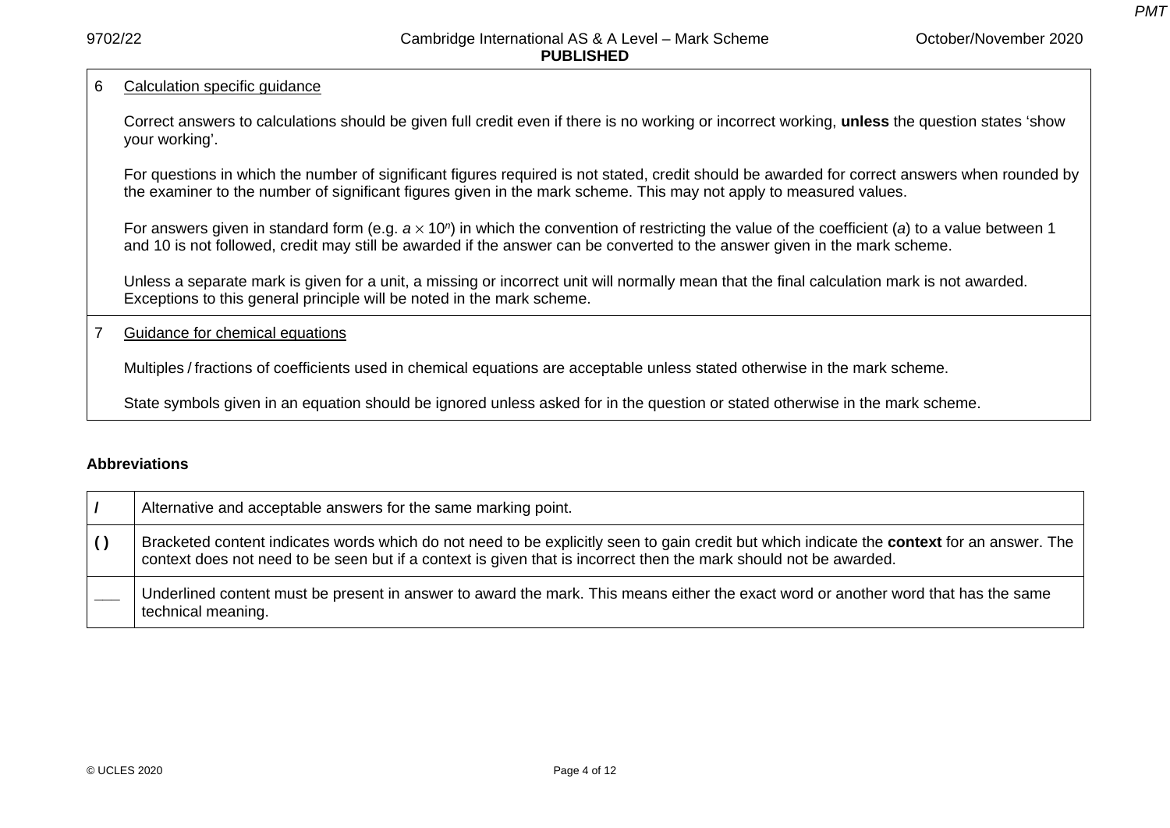*PMT*

#### 6 Calculation specific guidance

Correct answers to calculations should be given full credit even if there is no working or incorrect working, **unless** the question states 'show your working'.

For questions in which the number of significant figures required is not stated, credit should be awarded for correct answers when rounded by the examiner to the number of significant figures given in the mark scheme. This may not apply to measured values.

For answers given in standard form (e.g. *<sup>a</sup>* <sup>×</sup> 10*n*) in which the convention of restricting the value of the coefficient (*a*) to a value between 1 and 10 is not followed, credit may still be awarded if the answer can be converted to the answer given in the mark scheme.

Unless a separate mark is given for a unit, a missing or incorrect unit will normally mean that the final calculation mark is not awarded. Exceptions to this general principle will be noted in the mark scheme.

#### 7 Guidance for chemical equations

Multiples / fractions of coefficients used in chemical equations are acceptable unless stated otherwise in the mark scheme.

State symbols given in an equation should be ignored unless asked for in the question or stated otherwise in the mark scheme.

#### **Abbreviations**

| Alternative and acceptable answers for the same marking point.                                                                                                                                                                                                         |
|------------------------------------------------------------------------------------------------------------------------------------------------------------------------------------------------------------------------------------------------------------------------|
| Bracketed content indicates words which do not need to be explicitly seen to gain credit but which indicate the <b>context</b> for an answer. The<br>context does not need to be seen but if a context is given that is incorrect then the mark should not be awarded. |
| Underlined content must be present in answer to award the mark. This means either the exact word or another word that has the same<br>technical meaning.                                                                                                               |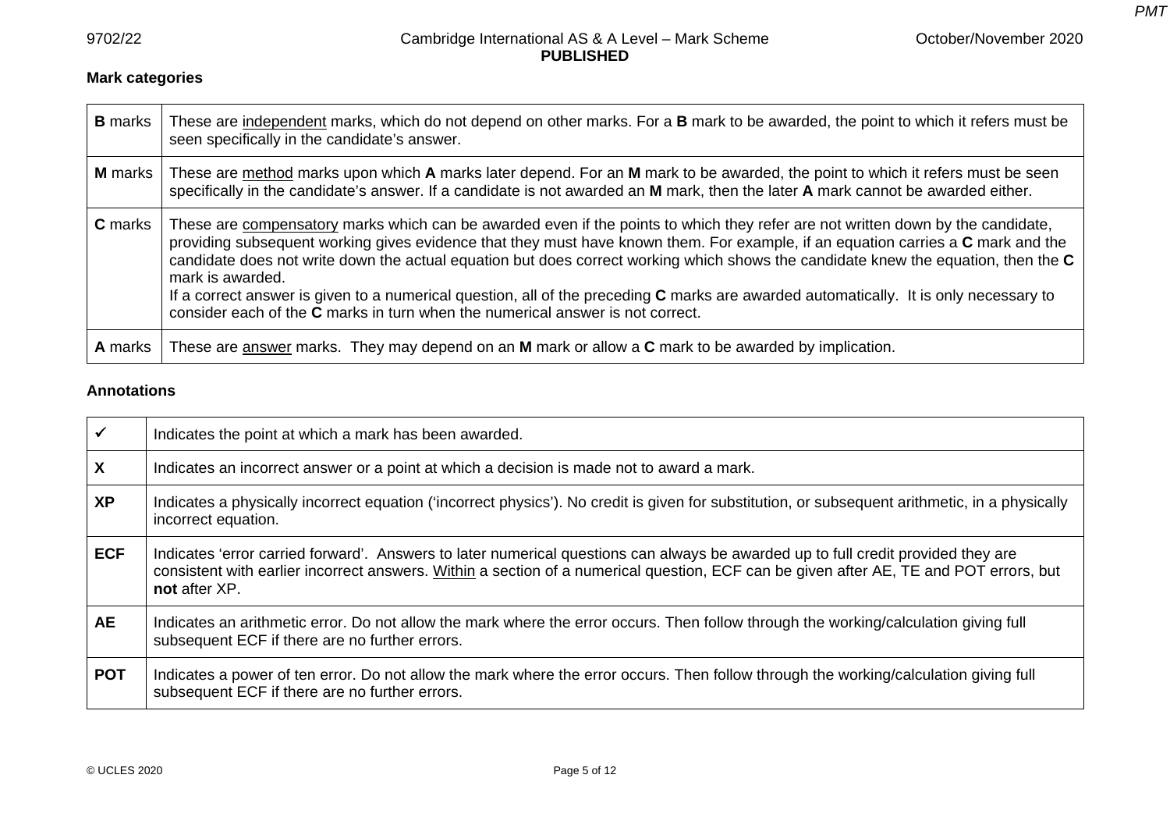*PMT*

## **Mark categories**

| <b>B</b> marks | These are independent marks, which do not depend on other marks. For a <b>B</b> mark to be awarded, the point to which it refers must be<br>seen specifically in the candidate's answer.                                                                                                                                                                                                                                                                                                                                                                                                                                                                          |
|----------------|-------------------------------------------------------------------------------------------------------------------------------------------------------------------------------------------------------------------------------------------------------------------------------------------------------------------------------------------------------------------------------------------------------------------------------------------------------------------------------------------------------------------------------------------------------------------------------------------------------------------------------------------------------------------|
| M marks        | These are method marks upon which A marks later depend. For an M mark to be awarded, the point to which it refers must be seen<br>specifically in the candidate's answer. If a candidate is not awarded an M mark, then the later A mark cannot be awarded either.                                                                                                                                                                                                                                                                                                                                                                                                |
| <b>C</b> marks | These are compensatory marks which can be awarded even if the points to which they refer are not written down by the candidate,<br>providing subsequent working gives evidence that they must have known them. For example, if an equation carries a C mark and the<br>candidate does not write down the actual equation but does correct working which shows the candidate knew the equation, then the C<br>mark is awarded.<br>If a correct answer is given to a numerical question, all of the preceding $C$ marks are awarded automatically. It is only necessary to<br>consider each of the <b>C</b> marks in turn when the numerical answer is not correct. |
| <b>A</b> marks | These are answer marks. They may depend on an M mark or allow a C mark to be awarded by implication.                                                                                                                                                                                                                                                                                                                                                                                                                                                                                                                                                              |

#### **Annotations**

| $\checkmark$ | Indicates the point at which a mark has been awarded.                                                                                                                                                                                                                                        |
|--------------|----------------------------------------------------------------------------------------------------------------------------------------------------------------------------------------------------------------------------------------------------------------------------------------------|
| X            | Indicates an incorrect answer or a point at which a decision is made not to award a mark.                                                                                                                                                                                                    |
| <b>XP</b>    | Indicates a physically incorrect equation ('incorrect physics'). No credit is given for substitution, or subsequent arithmetic, in a physically<br>incorrect equation.                                                                                                                       |
| <b>ECF</b>   | Indicates 'error carried forward'. Answers to later numerical questions can always be awarded up to full credit provided they are<br>consistent with earlier incorrect answers. Within a section of a numerical question, ECF can be given after AE, TE and POT errors, but<br>not after XP. |
| AE           | Indicates an arithmetic error. Do not allow the mark where the error occurs. Then follow through the working/calculation giving full<br>subsequent ECF if there are no further errors.                                                                                                       |
| <b>POT</b>   | Indicates a power of ten error. Do not allow the mark where the error occurs. Then follow through the working/calculation giving full<br>subsequent ECF if there are no further errors.                                                                                                      |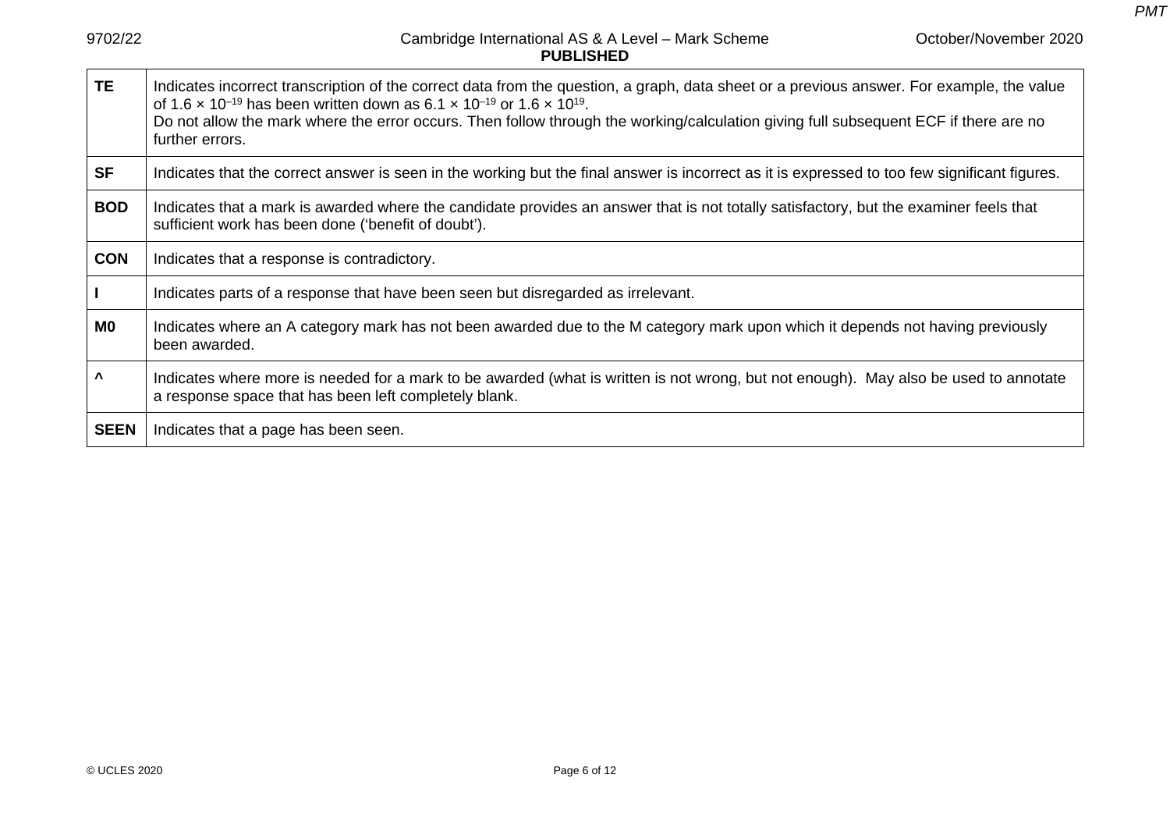*PMT*

| <b>TE</b>             | Indicates incorrect transcription of the correct data from the question, a graph, data sheet or a previous answer. For example, the value<br>of 1.6 x 10 <sup>-19</sup> has been written down as 6.1 x 10 <sup>-19</sup> or 1.6 x 10 <sup>19</sup> .<br>Do not allow the mark where the error occurs. Then follow through the working/calculation giving full subsequent ECF if there are no<br>further errors. |
|-----------------------|-----------------------------------------------------------------------------------------------------------------------------------------------------------------------------------------------------------------------------------------------------------------------------------------------------------------------------------------------------------------------------------------------------------------|
| <b>SF</b>             | Indicates that the correct answer is seen in the working but the final answer is incorrect as it is expressed to too few significant figures.                                                                                                                                                                                                                                                                   |
| <b>BOD</b>            | Indicates that a mark is awarded where the candidate provides an answer that is not totally satisfactory, but the examiner feels that<br>sufficient work has been done ('benefit of doubt').                                                                                                                                                                                                                    |
| <b>CON</b>            | Indicates that a response is contradictory.                                                                                                                                                                                                                                                                                                                                                                     |
| $\mathbf{I}$          | Indicates parts of a response that have been seen but disregarded as irrelevant.                                                                                                                                                                                                                                                                                                                                |
| MO                    | Indicates where an A category mark has not been awarded due to the M category mark upon which it depends not having previously<br>been awarded.                                                                                                                                                                                                                                                                 |
| $\boldsymbol{\wedge}$ | Indicates where more is needed for a mark to be awarded (what is written is not wrong, but not enough). May also be used to annotate<br>a response space that has been left completely blank.                                                                                                                                                                                                                   |
| <b>SEEN</b>           | Indicates that a page has been seen.                                                                                                                                                                                                                                                                                                                                                                            |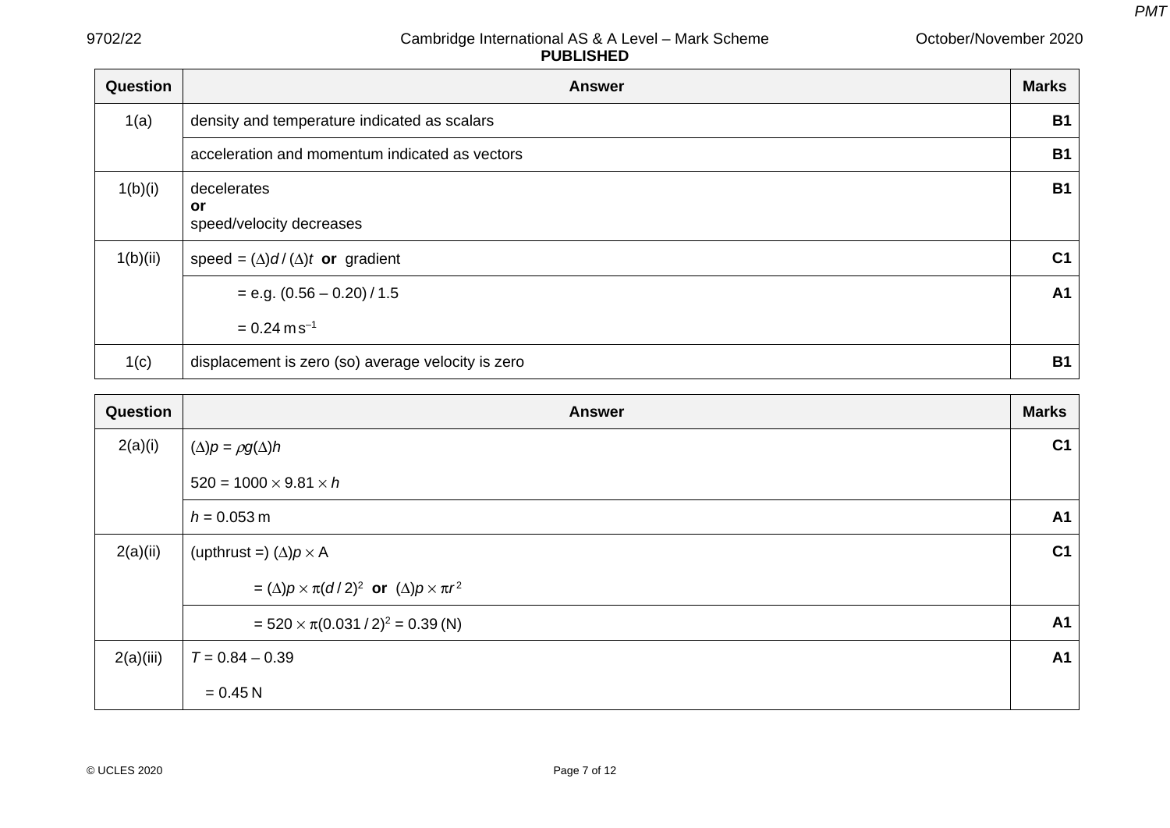| Question | <b>Answer</b>                                      | <b>Marks</b>   |
|----------|----------------------------------------------------|----------------|
| 1(a)     | density and temperature indicated as scalars       | <b>B1</b>      |
|          | acceleration and momentum indicated as vectors     | <b>B1</b>      |
| 1(b)(i)  | decelerates<br>or<br>speed/velocity decreases      | <b>B1</b>      |
| 1(b)(ii) | speed = $(\Delta) d/(\Delta) t$ or gradient        | C <sub>1</sub> |
|          | $= e.g. (0.56 - 0.20) / 1.5$                       | A <sub>1</sub> |
|          | $= 0.24$ m s <sup>-1</sup>                         |                |
| 1(c)     | displacement is zero (so) average velocity is zero | <b>B1</b>      |

| <b>Question</b> | <b>Answer</b>                                                 | <b>Marks</b>   |
|-----------------|---------------------------------------------------------------|----------------|
| 2(a)(i)         | $(\Delta)p = \rho g(\Delta)h$                                 | C <sub>1</sub> |
|                 | $520 = 1000 \times 9.81 \times h$                             |                |
|                 | $h = 0.053 \text{ m}$                                         | A1             |
| 2(a)(ii)        | (upthrust =) $(\Delta)p \times A$                             | C <sub>1</sub> |
|                 | = $(\Delta)p \times \pi(d/2)^2$ or $(\Delta)p \times \pi r^2$ |                |
|                 | = $520 \times \pi (0.031 / 2)^2$ = 0.39 (N)                   | A <sub>1</sub> |
| 2(a)(iii)       | $T = 0.84 - 0.39$                                             | A1             |
|                 | $= 0.45 N$                                                    |                |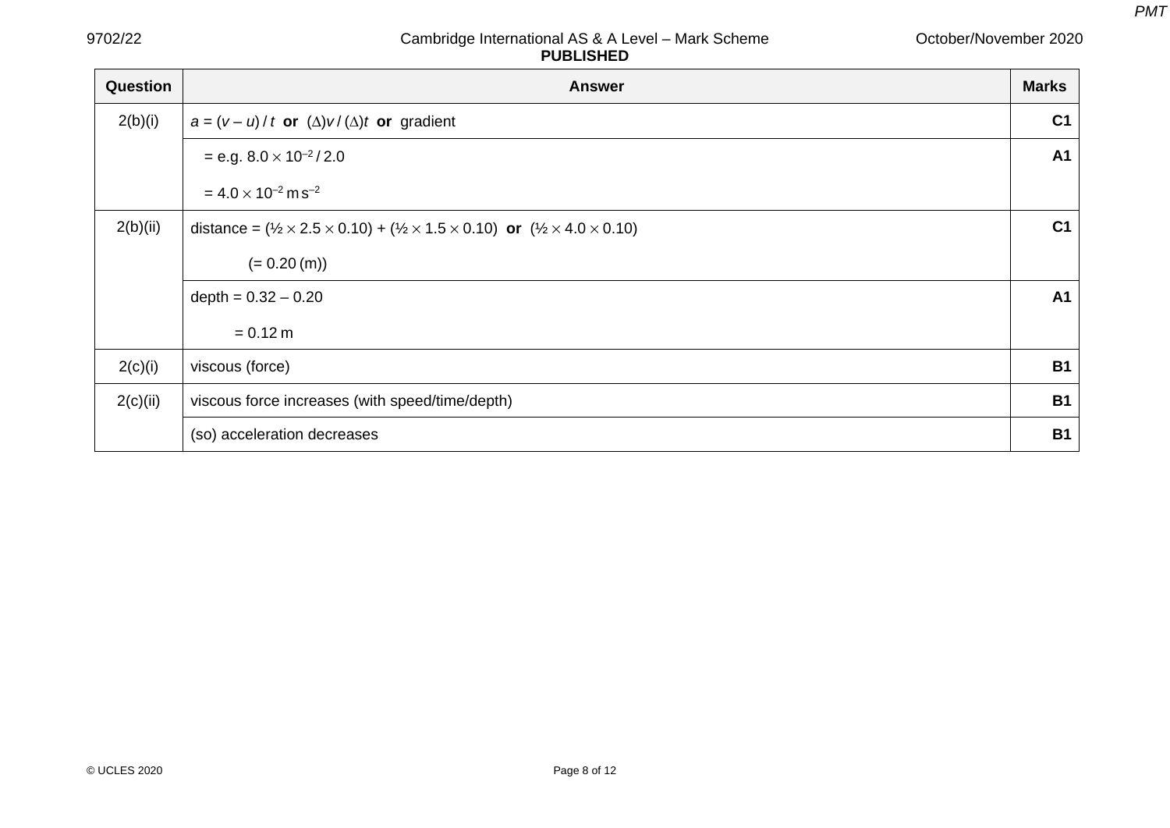| Question | <b>Answer</b>                                                                                                                      | <b>Marks</b>   |
|----------|------------------------------------------------------------------------------------------------------------------------------------|----------------|
| 2(b)(i)  | $a = (v - u)/t$ or $(\Delta)v/(\Delta)t$ or gradient                                                                               | C <sub>1</sub> |
|          | $= e.g. 8.0 \times 10^{-2} / 2.0$                                                                                                  | A <sub>1</sub> |
|          | $= 4.0 \times 10^{-2}$ m s <sup>-2</sup>                                                                                           |                |
| 2(b)(ii) | distance = $(\frac{1}{2} \times 2.5 \times 0.10) + (\frac{1}{2} \times 1.5 \times 0.10)$ or $(\frac{1}{2} \times 4.0 \times 0.10)$ | C <sub>1</sub> |
|          | $(= 0.20 (m))$                                                                                                                     |                |
|          | depth = $0.32 - 0.20$                                                                                                              | A <sub>1</sub> |
|          | $= 0.12 m$                                                                                                                         |                |
| 2(c)(i)  | viscous (force)                                                                                                                    | <b>B1</b>      |
| 2(c)(ii) | viscous force increases (with speed/time/depth)                                                                                    | <b>B1</b>      |
|          | (so) acceleration decreases                                                                                                        | <b>B1</b>      |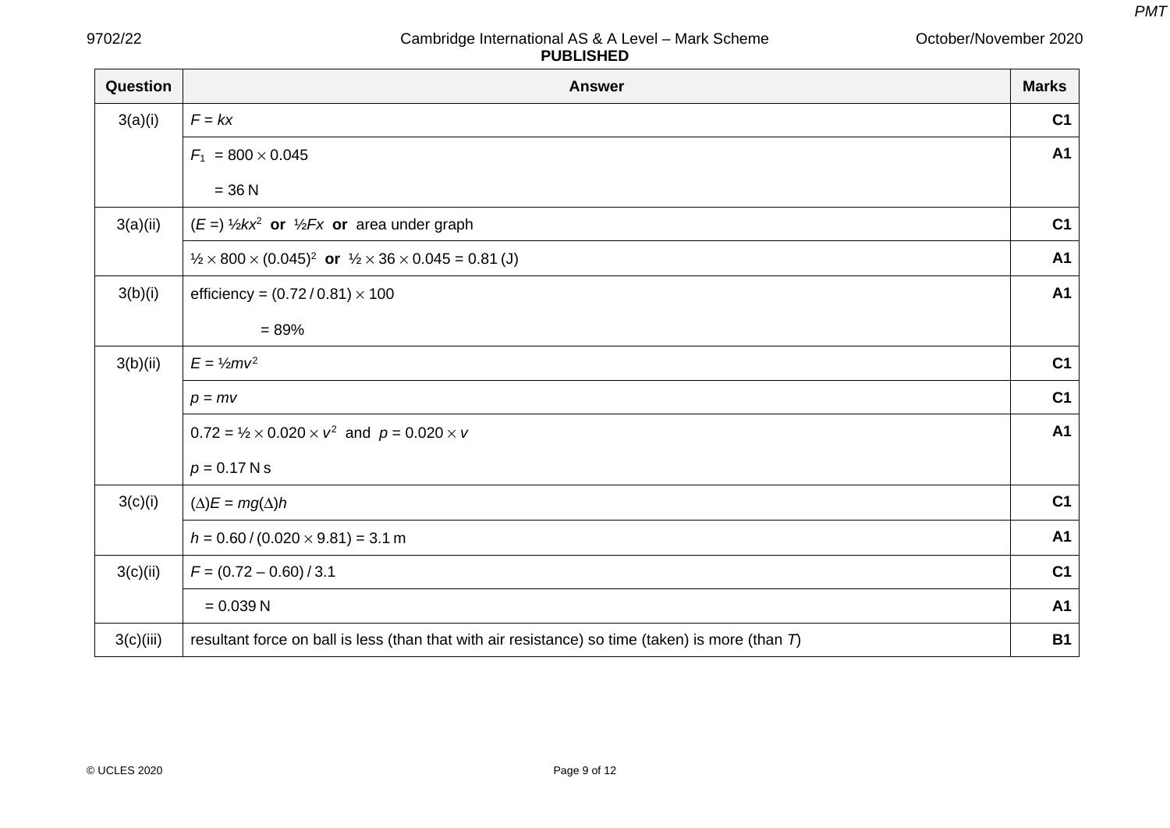October/November 2020

| Question  | <b>Answer</b>                                                                                       | <b>Marks</b>   |
|-----------|-----------------------------------------------------------------------------------------------------|----------------|
| 3(a)(i)   | $F = kx$                                                                                            | C <sub>1</sub> |
|           | $F_1 = 800 \times 0.045$                                                                            | A <sub>1</sub> |
|           | $= 36 N$                                                                                            |                |
| 3(a)(ii)  | $(E =)$ 1/2 kx <sup>2</sup> or 1/2 Fx or area under graph                                           | C <sub>1</sub> |
|           | $\frac{1}{2} \times 800 \times (0.045)^2$ or $\frac{1}{2} \times 36 \times 0.045 = 0.81$ (J)        | A <sub>1</sub> |
| 3(b)(i)   | efficiency = $(0.72/0.81) \times 100$                                                               | A <sub>1</sub> |
|           | $= 89%$                                                                                             |                |
| 3(b)(ii)  | $E = \frac{1}{2}mv^2$                                                                               | C <sub>1</sub> |
|           | $p = mv$                                                                                            | C <sub>1</sub> |
|           | $0.72 = \frac{1}{2} \times 0.020 \times v^2$ and $p = 0.020 \times v$                               | A <sub>1</sub> |
|           | $p = 0.17$ N s                                                                                      |                |
| 3(c)(i)   | $(\Delta)E = mg(\Delta)h$                                                                           | C <sub>1</sub> |
|           | $h = 0.60 / (0.020 \times 9.81) = 3.1$ m                                                            | A <sub>1</sub> |
| 3(c)(ii)  | $F = (0.72 - 0.60) / 3.1$                                                                           | C <sub>1</sub> |
|           | $= 0.039 N$                                                                                         | A <sub>1</sub> |
| 3(c)(iii) | resultant force on ball is less (than that with air resistance) so time (taken) is more (than $T$ ) | <b>B1</b>      |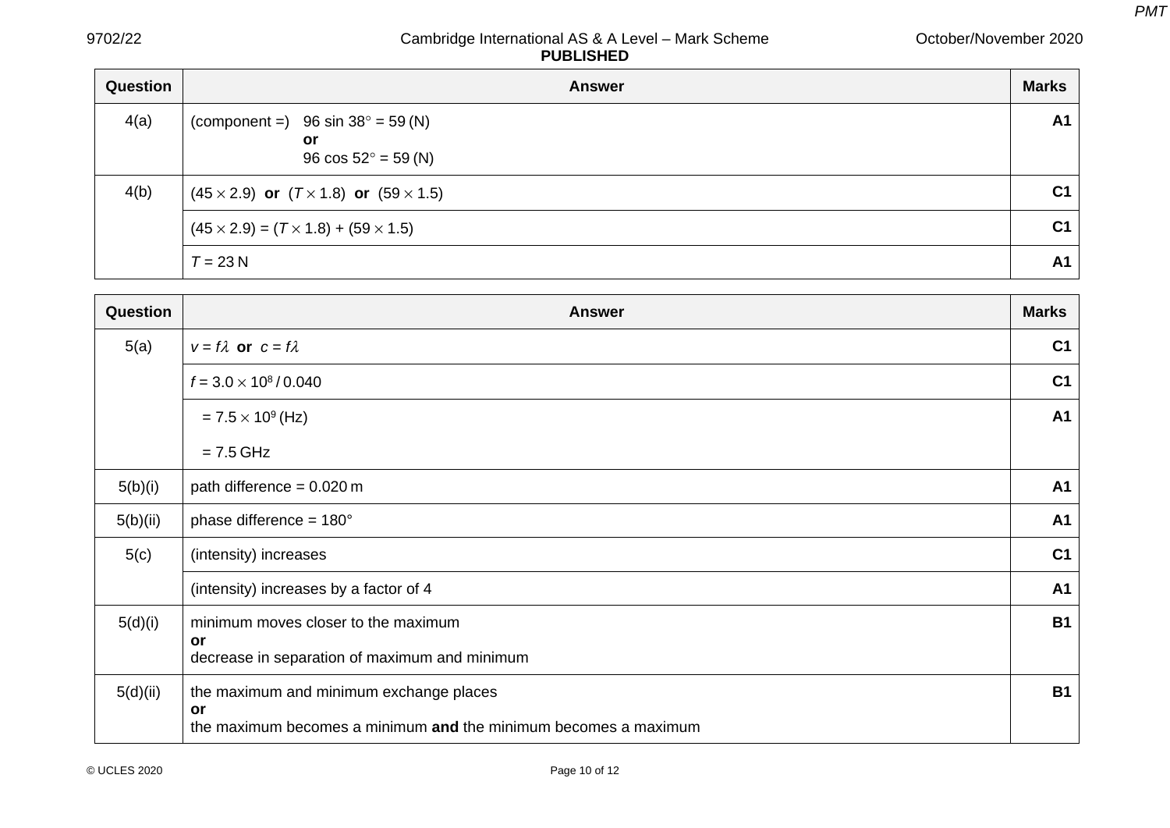| Question | <b>Answer</b>                                                                   | <b>Marks</b>   |
|----------|---------------------------------------------------------------------------------|----------------|
| 4(a)     | (component =) 96 sin $38^{\circ} = 59$ (N)<br>or<br>96 $\cos 52^\circ = 59$ (N) | <b>A1</b>      |
| 4(b)     | $(45 \times 2.9)$ or $(T \times 1.8)$ or $(59 \times 1.5)$                      | C <sub>1</sub> |
|          | $(45 \times 2.9) = (7 \times 1.8) + (59 \times 1.5)$                            | C <sub>1</sub> |
|          | $T = 23 N$                                                                      | A1             |

| <b>Question</b> | <b>Answer</b>                                                         | <b>Marks</b>   |
|-----------------|-----------------------------------------------------------------------|----------------|
| 5(a)            | $v = f\lambda$ or $c = f\lambda$                                      | C <sub>1</sub> |
|                 | $f = 3.0 \times 10^8 / 0.040$                                         | C <sub>1</sub> |
|                 | $= 7.5 \times 10^9$ (Hz)                                              | A <sub>1</sub> |
|                 | $= 7.5$ GHz                                                           |                |
| 5(b)(i)         | path difference = $0.020$ m                                           | A <sub>1</sub> |
| 5(b)(ii)        | phase difference = $180^\circ$                                        | A <sub>1</sub> |
| 5(c)            | (intensity) increases                                                 | C <sub>1</sub> |
|                 | (intensity) increases by a factor of 4                                | A <sub>1</sub> |
| 5(d)(i)         | minimum moves closer to the maximum                                   | <b>B1</b>      |
|                 | <b>or</b><br>decrease in separation of maximum and minimum            |                |
| 5(d)(ii)        | the maximum and minimum exchange places                               | <b>B1</b>      |
|                 | or<br>the maximum becomes a minimum and the minimum becomes a maximum |                |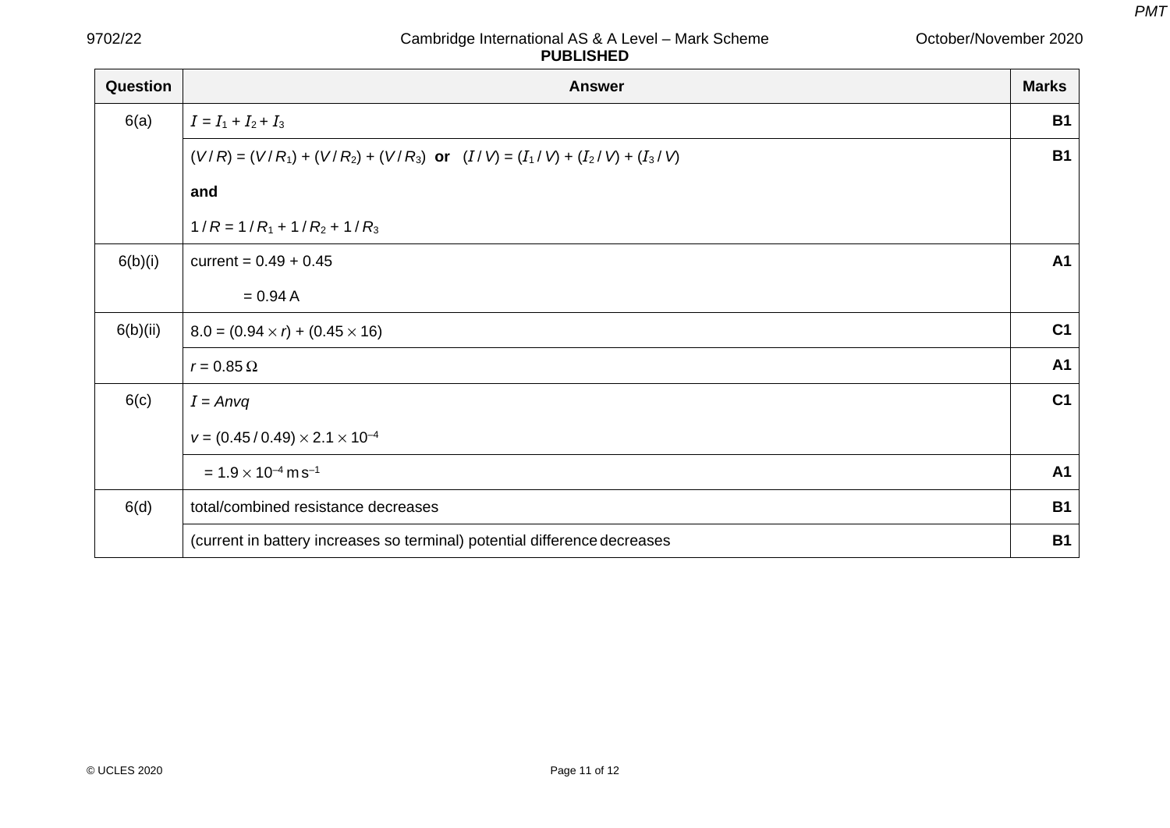October/November 2020

| Question | <b>Answer</b>                                                                  | <b>Marks</b>   |
|----------|--------------------------------------------------------------------------------|----------------|
| 6(a)     | $I = I_1 + I_2 + I_3$                                                          | <b>B1</b>      |
|          | $(V/R) = (V/R_1) + (V/R_2) + (V/R_3)$ or $(I/V) = (I_1/V) + (I_2/V) + (I_3/V)$ | <b>B1</b>      |
|          | and                                                                            |                |
|          | $1/R = 1/R_1 + 1/R_2 + 1/R_3$                                                  |                |
| 6(b)(i)  | current = $0.49 + 0.45$                                                        | A1             |
|          | $= 0.94 A$                                                                     |                |
| 6(b)(ii) | $8.0 = (0.94 \times r) + (0.45 \times 16)$                                     | C <sub>1</sub> |
|          | $r = 0.85 \Omega$                                                              | A1             |
| 6(c)     | $I = Anvq$                                                                     | C <sub>1</sub> |
|          | $v = (0.45/0.49) \times 2.1 \times 10^{-4}$                                    |                |
|          | $= 1.9 \times 10^{-4}$ m s <sup>-1</sup>                                       | <b>A1</b>      |
| 6(d)     | total/combined resistance decreases                                            | <b>B1</b>      |
|          | (current in battery increases so terminal) potential difference decreases      | <b>B1</b>      |